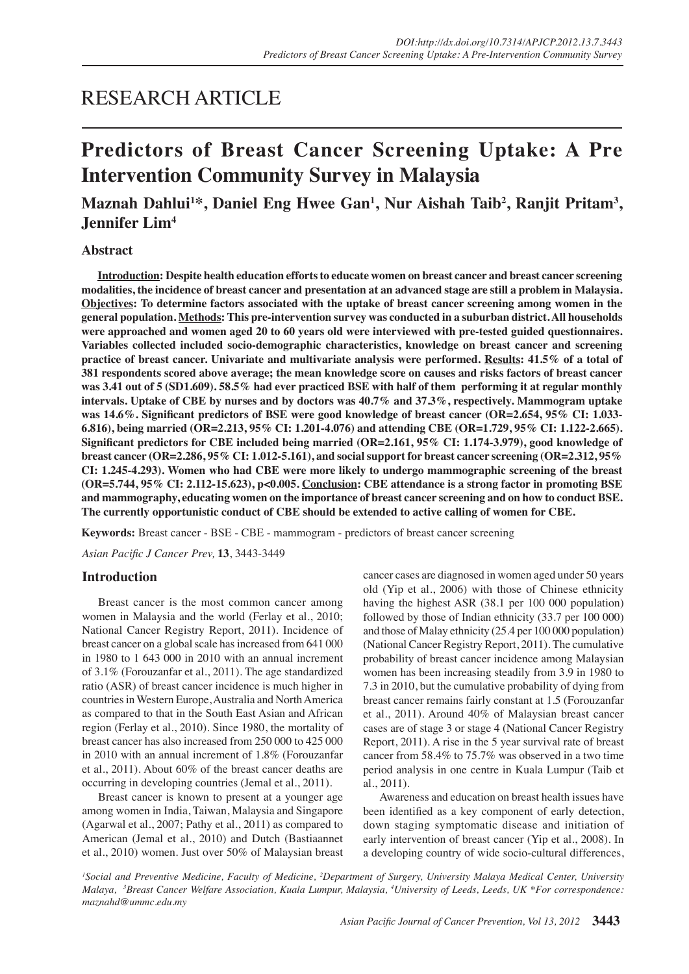# RESEARCH ARTICLE

# **Predictors of Breast Cancer Screening Uptake: A Pre Intervention Community Survey in Malaysia**

# **Maznah Dahlui1 \*, Daniel Eng Hwee Gan1 , Nur Aishah Taib2 , Ranjit Pritam3 , Jennifer Lim4**

# **Abstract**

**Introduction: Despite health education efforts to educate women on breast cancer and breast cancer screening modalities, the incidence of breast cancer and presentation at an advanced stage are still a problem in Malaysia. Objectives: To determine factors associated with the uptake of breast cancer screening among women in the general population. Methods: This pre-intervention survey was conducted in a suburban district. All households were approached and women aged 20 to 60 years old were interviewed with pre-tested guided questionnaires. Variables collected included socio-demographic characteristics, knowledge on breast cancer and screening practice of breast cancer. Univariate and multivariate analysis were performed. Results: 41.5% of a total of 381 respondents scored above average; the mean knowledge score on causes and risks factors of breast cancer was 3.41 out of 5 (SD1.609). 58.5% had ever practiced BSE with half of them performing it at regular monthly intervals. Uptake of CBE by nurses and by doctors was 40.7% and 37.3%, respectively. Mammogram uptake was 14.6%. Significant predictors of BSE were good knowledge of breast cancer (OR=2.654, 95% CI: 1.033- 6.816), being married (OR=2.213, 95% CI: 1.201-4.076) and attending CBE (OR=1.729, 95% CI: 1.122-2.665). Significant predictors for CBE included being married (OR=2.161, 95% CI: 1.174-3.979), good knowledge of breast cancer (OR=2.286, 95% CI: 1.012-5.161), and social support for breast cancer screening (OR=2.312, 95% CI: 1.245-4.293). Women who had CBE were more likely to undergo mammographic screening of the breast (OR=5.744, 95% CI: 2.112-15.623), p<0.005. Conclusion: CBE attendance is a strong factor in promoting BSE and mammography, educating women on the importance of breast cancer screening and on how to conduct BSE. The currently opportunistic conduct of CBE should be extended to active calling of women for CBE.**

**Keywords:** Breast cancer - BSE - CBE - mammogram - predictors of breast cancer screening

*Asian Pacific J Cancer Prev,* **13**, 3443-3449

#### **Introduction**

Breast cancer is the most common cancer among women in Malaysia and the world (Ferlay et al., 2010; National Cancer Registry Report, 2011). Incidence of breast cancer on a global scale has increased from 641 000 in 1980 to 1 643 000 in 2010 with an annual increment of 3.1% (Forouzanfar et al., 2011). The age standardized ratio (ASR) of breast cancer incidence is much higher in countries in Western Europe, Australia and North America as compared to that in the South East Asian and African region (Ferlay et al., 2010). Since 1980, the mortality of breast cancer has also increased from 250 000 to 425 000 in 2010 with an annual increment of 1.8% (Forouzanfar et al., 2011). About 60% of the breast cancer deaths are occurring in developing countries (Jemal et al., 2011).

Breast cancer is known to present at a younger age among women in India, Taiwan, Malaysia and Singapore (Agarwal et al., 2007; Pathy et al., 2011) as compared to American (Jemal et al., 2010) and Dutch (Bastiaannet et al., 2010) women. Just over 50% of Malaysian breast cancer cases are diagnosed in women aged under 50 years old (Yip et al., 2006) with those of Chinese ethnicity having the highest ASR (38.1 per 100 000 population) followed by those of Indian ethnicity (33.7 per 100 000) and those of Malay ethnicity (25.4 per 100 000 population) (National Cancer Registry Report, 2011). The cumulative probability of breast cancer incidence among Malaysian women has been increasing steadily from 3.9 in 1980 to 7.3 in 2010, but the cumulative probability of dying from breast cancer remains fairly constant at 1.5 (Forouzanfar et al., 2011). Around 40% of Malaysian breast cancer cases are of stage 3 or stage 4 (National Cancer Registry Report, 2011). A rise in the 5 year survival rate of breast cancer from 58.4% to 75.7% was observed in a two time period analysis in one centre in Kuala Lumpur (Taib et al., 2011).

Awareness and education on breast health issues have been identified as a key component of early detection, down staging symptomatic disease and initiation of early intervention of breast cancer (Yip et al., 2008). In a developing country of wide socio-cultural differences,

<sup>1</sup> Social and Preventive Medicine, Faculty of Medicine, <sup>2</sup>Department of Surgery, University Malaya Medical Center, University Malaya, <sup>3</sup>Breast Cancer Welfare Association, Kuala Lumpur, Malaysia, <sup>4</sup>University of Leeds, Leeds, UK \*For correspondence: *maznahd@ummc.edu.my*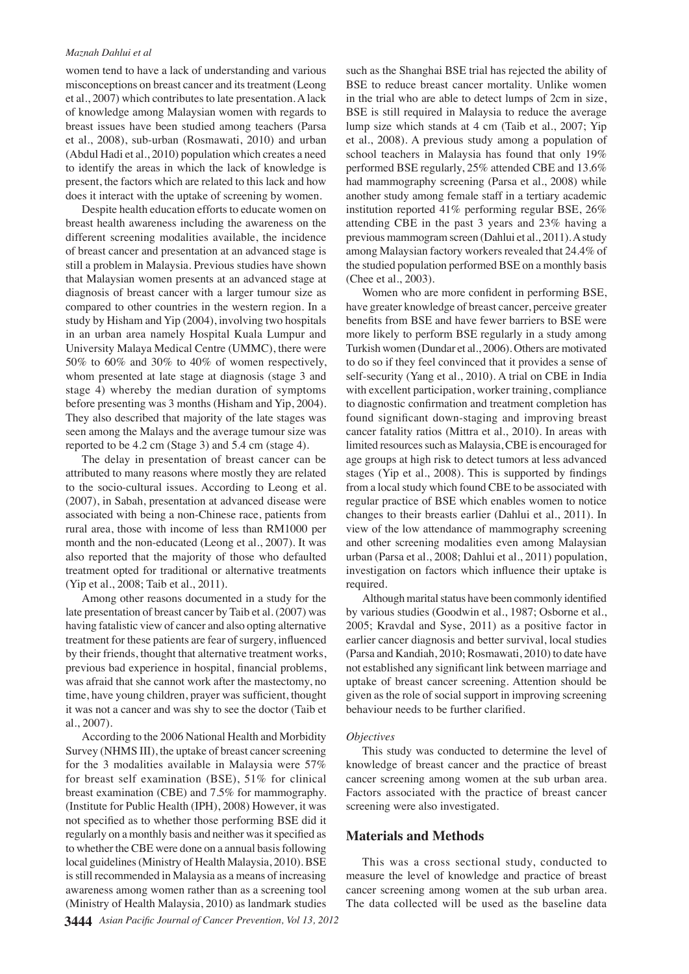#### *Maznah Dahlui et al*

women tend to have a lack of understanding and various misconceptions on breast cancer and its treatment (Leong et al., 2007) which contributes to late presentation. A lack of knowledge among Malaysian women with regards to breast issues have been studied among teachers (Parsa et al., 2008), sub-urban (Rosmawati, 2010) and urban (Abdul Hadi et al., 2010) population which creates a need to identify the areas in which the lack of knowledge is present, the factors which are related to this lack and how does it interact with the uptake of screening by women.

Despite health education efforts to educate women on breast health awareness including the awareness on the different screening modalities available, the incidence of breast cancer and presentation at an advanced stage is still a problem in Malaysia. Previous studies have shown that Malaysian women presents at an advanced stage at diagnosis of breast cancer with a larger tumour size as compared to other countries in the western region. In a study by Hisham and Yip (2004), involving two hospitals in an urban area namely Hospital Kuala Lumpur and University Malaya Medical Centre (UMMC), there were 50% to 60% and 30% to 40% of women respectively, whom presented at late stage at diagnosis (stage 3 and stage 4) whereby the median duration of symptoms before presenting was 3 months (Hisham and Yip, 2004). They also described that majority of the late stages was seen among the Malays and the average tumour size was reported to be 4.2 cm (Stage 3) and 5.4 cm (stage 4).

The delay in presentation of breast cancer can be attributed to many reasons where mostly they are related to the socio-cultural issues. According to Leong et al. (2007), in Sabah, presentation at advanced disease were associated with being a non-Chinese race, patients from rural area, those with income of less than RM1000 per month and the non-educated (Leong et al., 2007). It was also reported that the majority of those who defaulted treatment opted for traditional or alternative treatments (Yip et al., 2008; Taib et al., 2011).

Among other reasons documented in a study for the late presentation of breast cancer by Taib et al. (2007) was having fatalistic view of cancer and also opting alternative treatment for these patients are fear of surgery, influenced by their friends, thought that alternative treatment works, previous bad experience in hospital, financial problems, was afraid that she cannot work after the mastectomy, no time, have young children, prayer was sufficient, thought it was not a cancer and was shy to see the doctor (Taib et al., 2007).

According to the 2006 National Health and Morbidity Survey (NHMS III), the uptake of breast cancer screening for the 3 modalities available in Malaysia were 57% for breast self examination (BSE), 51% for clinical breast examination (CBE) and 7.5% for mammography. (Institute for Public Health (IPH), 2008) However, it was not specified as to whether those performing BSE did it regularly on a monthly basis and neither was it specified as to whether the CBE were done on a annual basis following local guidelines (Ministry of Health Malaysia, 2010). BSE is still recommended in Malaysia as a means of increasing awareness among women rather than as a screening tool (Ministry of Health Malaysia, 2010) as landmark studies

such as the Shanghai BSE trial has rejected the ability of BSE to reduce breast cancer mortality. Unlike women in the trial who are able to detect lumps of 2cm in size, BSE is still required in Malaysia to reduce the average lump size which stands at 4 cm (Taib et al., 2007; Yip et al., 2008). A previous study among a population of school teachers in Malaysia has found that only 19% performed BSE regularly, 25% attended CBE and 13.6% had mammography screening (Parsa et al., 2008) while another study among female staff in a tertiary academic institution reported 41% performing regular BSE, 26% attending CBE in the past 3 years and 23% having a previous mammogram screen (Dahlui et al., 2011). A study among Malaysian factory workers revealed that 24.4% of the studied population performed BSE on a monthly basis (Chee et al., 2003).

Women who are more confident in performing BSE, have greater knowledge of breast cancer, perceive greater benefits from BSE and have fewer barriers to BSE were more likely to perform BSE regularly in a study among Turkish women (Dundar et al., 2006). Others are motivated to do so if they feel convinced that it provides a sense of self-security (Yang et al., 2010). A trial on CBE in India with excellent participation, worker training, compliance to diagnostic confirmation and treatment completion has found significant down-staging and improving breast cancer fatality ratios (Mittra et al., 2010). In areas with limited resources such as Malaysia, CBE is encouraged for age groups at high risk to detect tumors at less advanced stages (Yip et al., 2008). This is supported by findings from a local study which found CBE to be associated with regular practice of BSE which enables women to notice changes to their breasts earlier (Dahlui et al., 2011). In view of the low attendance of mammography screening and other screening modalities even among Malaysian urban (Parsa et al., 2008; Dahlui et al., 2011) population, investigation on factors which influence their uptake is required.

Although marital status have been commonly identified by various studies (Goodwin et al., 1987; Osborne et al., 2005; Kravdal and Syse, 2011) as a positive factor in earlier cancer diagnosis and better survival, local studies (Parsa and Kandiah, 2010; Rosmawati, 2010) to date have not established any significant link between marriage and uptake of breast cancer screening. Attention should be given as the role of social support in improving screening behaviour needs to be further clarified.

#### *Objectives*

This study was conducted to determine the level of knowledge of breast cancer and the practice of breast cancer screening among women at the sub urban area. Factors associated with the practice of breast cancer screening were also investigated.

### **Materials and Methods**

This was a cross sectional study, conducted to measure the level of knowledge and practice of breast cancer screening among women at the sub urban area. The data collected will be used as the baseline data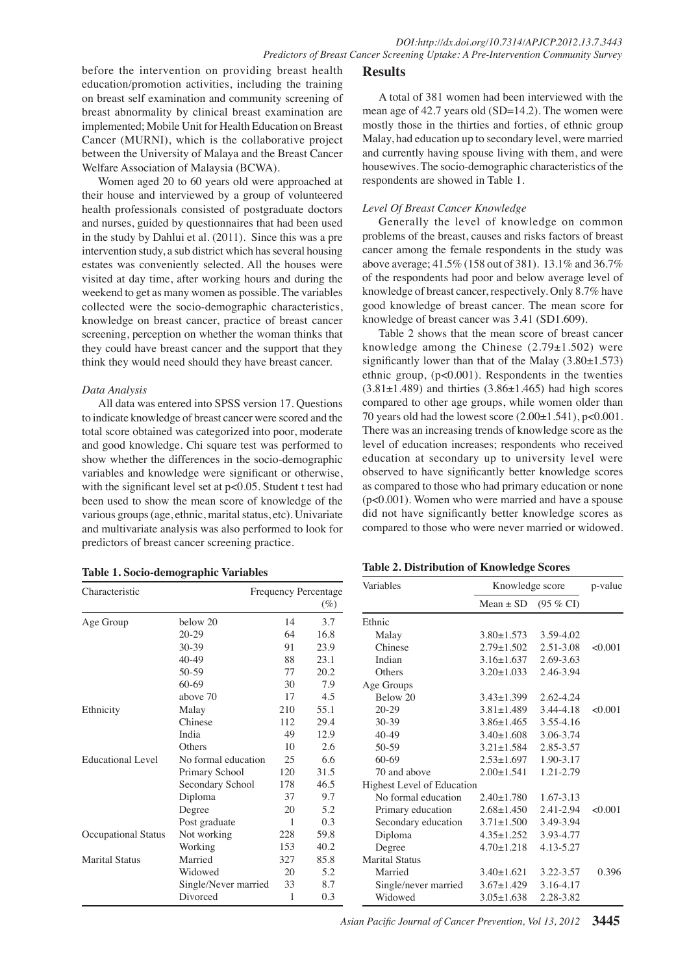before the intervention on providing breast health education/promotion activities, including the training on breast self examination and community screening of breast abnormality by clinical breast examination are implemented; Mobile Unit for Health Education on Breast Cancer (MURNI), which is the collaborative project between the University of Malaya and the Breast Cancer Welfare Association of Malaysia (BCWA).

Women aged 20 to 60 years old were approached at their house and interviewed by a group of volunteered health professionals consisted of postgraduate doctors and nurses, guided by questionnaires that had been used in the study by Dahlui et al. (2011). Since this was a pre intervention study, a sub district which has several housing estates was conveniently selected. All the houses were visited at day time, after working hours and during the weekend to get as many women as possible. The variables collected were the socio-demographic characteristics, knowledge on breast cancer, practice of breast cancer screening, perception on whether the woman thinks that they could have breast cancer and the support that they think they would need should they have breast cancer.

#### *Data Analysis*

All data was entered into SPSS version 17. Questions to indicate knowledge of breast cancer were scored and the total score obtained was categorized into poor, moderate and good knowledge. Chi square test was performed to show whether the differences in the socio-demographic variables and knowledge were significant or otherwise, with the significant level set at  $p<0.05$ . Student t test had been used to show the mean score of knowledge of the various groups (age, ethnic, marital status, etc). Univariate and multivariate analysis was also performed to look for predictors of breast cancer screening practice.

| Table 1. Socio-demographic Variables |  |
|--------------------------------------|--|
|--------------------------------------|--|

## **Results**

A total of 381 women had been interviewed with the mean age of 42.7 years old (SD=14.2). The women were mostly those in the thirties and forties, of ethnic group Malay, had education up to secondary level, were married and currently having spouse living with them, and were housewives. The socio-demographic characteristics of the respondents are showed in Table 1.

#### *Level Of Breast Cancer Knowledge*

good knowledge of breast cancer. The mean score for 50.0 cancer among the female respondents in the study was  $75.0$ <br>change response  $41.5\%$  (158 ant  $5281$ ),  $12.1\%$  and  $26.7\%$  75.0 Generally the level of knowledge on common problems of the breast, causes and risks factors of breast above average; 41.5% (158 out of 381). 13.1% and 36.7% of the respondents had poor and below average level of knowledge of breast cancer, respectively. Only 8.7% have knowledge of breast cancer was 3.41 (SD1.609).

0 knowledge among the Chinese  $(2.79 \pm 1.502)$  were  $25.0$ Table 2 shows that the mean score of breast cancer significantly lower than that of the Malay  $(3.80\pm1.573)$ ethnic group, (p<0.001). Respondents in the twenties  $(3.81\pm1.489)$  and thirties  $(3.86\pm1.465)$  had high scores compared to other age groups, while women older than 70 years old had the lowest score  $(2.00 \pm 1.541)$ , p<0.001. There was an increasing trends of knowledge score as the level of education increases; respondents who received education at secondary up to university level were observed to have significantly better knowledge scores as compared to those who had primary education or none (p<0.001). Women who were married and have a spouse did not have significantly better knowledge scores as compared to those who were never married or widowed.

| Characteristic           | Frequency Percentage |     | Variables | Knowledge score            |                  | p-value             |         |
|--------------------------|----------------------|-----|-----------|----------------------------|------------------|---------------------|---------|
|                          |                      |     | $(\%)$    |                            | $Mean \pm SD$    | $(95\% \text{ CI})$ |         |
| Age Group                | below 20             | 14  | 3.7       | Ethnic                     |                  |                     |         |
|                          | $20-29$              | 64  | 16.8      | Malay                      | $3.80 \pm 1.573$ | 3.59-4.02           |         |
|                          | 30-39                | 91  | 23.9      | Chinese                    | $2.79 \pm 1.502$ | 2.51-3.08           | < 0.001 |
|                          | $40 - 49$            | 88  | 23.1      | Indian                     | $3.16 \pm 1.637$ | 2.69-3.63           |         |
|                          | 50-59                | 77  | 20.2      | Others                     | $3.20 \pm 1.033$ | 2.46-3.94           |         |
|                          | $60-69$              | 30  | 7.9       | Age Groups                 |                  |                     |         |
|                          | above 70             | 17  | 4.5       | Below 20                   | $3.43 \pm 1.399$ | $2.62 - 4.24$       |         |
| Ethnicity                | Malay                | 210 | 55.1      | $20 - 29$                  | $3.81 \pm 1.489$ | 3.44-4.18           | < 0.001 |
|                          | Chinese              | 112 | 29.4      | $30 - 39$                  | $3.86 \pm 1.465$ | 3.55-4.16           |         |
|                          | India                | 49  | 12.9      | $40-49$                    | $3.40 \pm 1.608$ | 3.06-3.74           |         |
|                          | Others               | 10  | 2.6       | $50-59$                    | $3.21 \pm 1.584$ | 2.85-3.57           |         |
| <b>Educational Level</b> | No formal education  | 25  | 6.6       | $60-69$                    | $2.53 \pm 1.697$ | 1.90-3.17           |         |
|                          | Primary School       | 120 | 31.5      | 70 and above               | $2.00 \pm 1.541$ | 1.21-2.79           |         |
|                          | Secondary School     | 178 | 46.5      | Highest Level of Education |                  |                     |         |
|                          | Diploma              | 37  | 9.7       | No formal education        | $2.40 + 1.780$   | $1.67 - 3.13$       |         |
|                          | Degree               | 20  | 5.2       | Primary education          | $2.68 \pm 1.450$ | 2.41-2.94           | <0.001  |
|                          | Post graduate        | 1   | 0.3       | Secondary education        | $3.71 \pm 1.500$ | 3.49-3.94           |         |
| Occupational Status      | Not working          | 228 | 59.8      | Diploma                    | $4.35 \pm 1.252$ | 3.93-4.77           |         |
|                          | Working              | 153 | 40.2      | Degree                     | $4.70 \pm 1.218$ | 4.13-5.27           |         |
| <b>Marital Status</b>    | Married              | 327 | 85.8      | <b>Marital Status</b>      |                  |                     |         |
|                          | Widowed              | 20  | 5.2       | Married                    | $3.40 \pm 1.621$ | 3.22-3.57           | 0.396   |
|                          | Single/Never married | 33  | 8.7       | Single/never married       | $3.67 \pm 1.429$ | 3.16-4.17           |         |
|                          | Divorced             | 1   | 0.3       | Widowed                    | $3.05 \pm 1.638$ | 2.28-3.82           |         |

*Asian Pacific Journal of Cancer Prevention, Vol 13, 2012* **3445**

100.0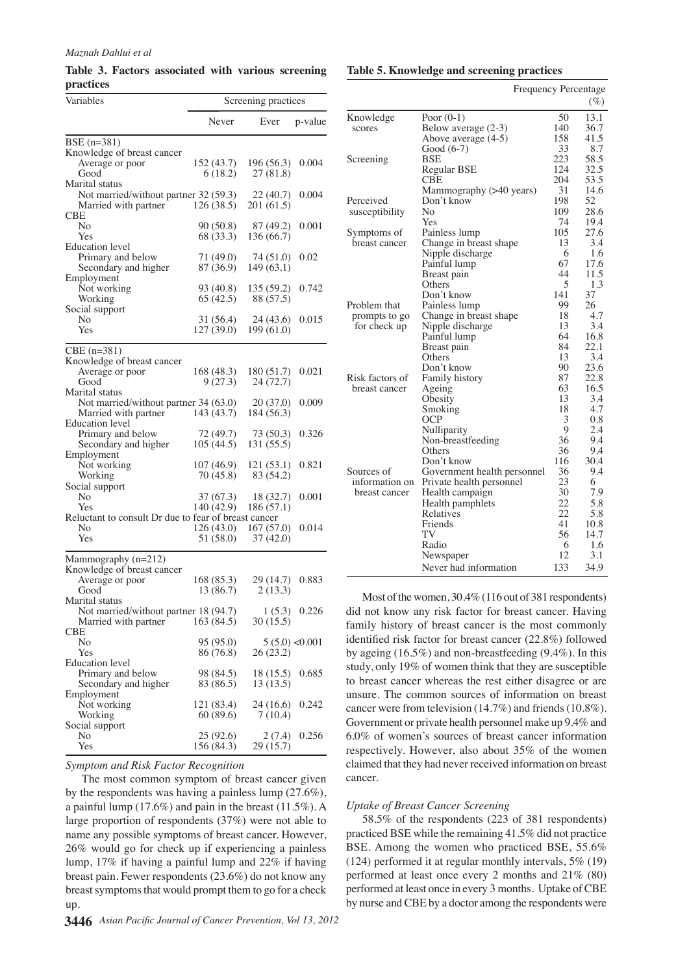**Table 3. Factors associated with various screening practices**

| Variables                                            | Screening practices |                  |                |  |
|------------------------------------------------------|---------------------|------------------|----------------|--|
|                                                      | Never               | Ever             | p-value        |  |
| BSE (n=381)                                          |                     |                  |                |  |
| Knowledge of breast cancer                           |                     |                  |                |  |
| Average or poor                                      | 152 (43.7)          | 196(56.3)        | 0.004          |  |
| Good                                                 | 6(18.2)             | 27(81.8)         |                |  |
| Marital status                                       |                     |                  |                |  |
| Not married/without partner 32 (59.3)                |                     | 22(40.7)         | 0.004          |  |
| Married with partner                                 | 126(38.5)           | 201 (61.5)       |                |  |
| CBE                                                  |                     |                  |                |  |
| No                                                   | 90 (50.8)           | 87 (49.2)        | 0.001          |  |
| Yes                                                  | 68 (33.3)           | 136 (66.7)       |                |  |
| <b>Education</b> level                               |                     |                  |                |  |
| Primary and below                                    | 71 (49.0)           | 74 (51.0)        | 0.02           |  |
| Secondary and higher                                 | 87 (36.9)           | 149 (63.1)       |                |  |
| Employment                                           |                     |                  |                |  |
| Not working                                          | 93 (40.8)           | 135 (59.2)       | 0.742          |  |
| Working                                              | 65(42.5)            | 88 (57.5)        |                |  |
| Social support<br>No                                 | 31 (56.4)           | 24 (43.6)        | 0.015          |  |
| Yes                                                  | 127 (39.0)          | 199(61.0)        |                |  |
|                                                      |                     |                  |                |  |
| $CBE (n=381)$                                        |                     |                  |                |  |
| Knowledge of breast cancer                           |                     |                  |                |  |
| Average or poor                                      | 168 (48.3)          | 180 (51.7)       | 0.021          |  |
| Good                                                 | 9(27.3)             | 24(72.7)         |                |  |
| Marital status                                       |                     |                  |                |  |
| Not married/without partner 34 (63.0)                |                     | 20 (37.0)        | 0.009          |  |
| Married with partner                                 | 143 (43.7)          | 184 (56.3)       |                |  |
| <b>Education</b> level                               |                     |                  |                |  |
| Primary and below                                    | 72 (49.7)           | 73 (50.3)        | 0.326          |  |
| Secondary and higher                                 | 105 (44.5)          | 131 (55.5)       |                |  |
| Employment                                           |                     |                  |                |  |
| Not working                                          | 107(46.9)           | 121(53.1)        | 0.821          |  |
| Working                                              | 70 (45.8)           | 83 (54.2)        |                |  |
| Social support                                       |                     |                  |                |  |
| No                                                   | 37 (67.3)           | 18 (32.7)        | 0.001          |  |
| Yes                                                  | 140 (42.9)          | 186 (57.1)       |                |  |
| Reluctant to consult Dr due to fear of breast cancer |                     |                  |                |  |
| No                                                   | 126(43.0)           | 167(57.0)        | 0.014          |  |
| Yes                                                  | 51 (58.0)           | 37(42.0)         |                |  |
|                                                      |                     |                  |                |  |
| Mammography $(n=212)$<br>Knowledge of breast cancer  |                     |                  |                |  |
| Average or poor                                      | 168 (85.3)          | 29 (14.7)        | 0.883          |  |
| Good                                                 | 13 (86.7)           | 2(13.3)          |                |  |
| Marital status                                       |                     |                  |                |  |
| Not married/without partner 18 (94.7)                |                     |                  | $1(5.3)$ 0.226 |  |
| Married with partner                                 | 163 (84.5)          | 30(15.5)         |                |  |
| CBE                                                  |                     |                  |                |  |
| No                                                   | 95 (95.0)           | $5(5.0)$ < 0.001 |                |  |
| Yes                                                  | 86 (76.8)           | 26 (23.2)        |                |  |
| <b>Education</b> level                               |                     |                  |                |  |
| Primary and below                                    | 98 (84.5)           | 18 (15.5)        | 0.685          |  |
| Secondary and higher                                 | 83 (86.5)           | 13 (13.5)        |                |  |
| Employment                                           |                     |                  |                |  |
| Not working                                          | 121 (83.4)          | 24 (16.6)        | 0.242          |  |
| Working                                              | 60 (89.6)           | 7(10.4)          |                |  |
| Social support                                       |                     |                  |                |  |
| No                                                   | 25 (92.6)           | 2 (7.4)          | 0.256          |  |
| Yes                                                  | 156 (84.3)          | 29 (15.7)        |                |  |

*Symptom and Risk Factor Recognition*

The most common symptom of breast cancer given by the respondents was having a painless lump (27.6%), a painful lump (17.6%) and pain in the breast (11.5%). A large proportion of respondents (37%) were not able to name any possible symptoms of breast cancer. However, 26% would go for check up if experiencing a painless lump, 17% if having a painful lump and 22% if having breast pain. Fewer respondents (23.6%) do not know any breast symptoms that would prompt them to go for a check up.

#### **Table 5. Knowledge and screening practices**

|                 | Frequency Percentage        |          |              |
|-----------------|-----------------------------|----------|--------------|
|                 |                             |          | $(\%)$       |
| Knowledge       | Poor $(0-1)$                | 50       | 13.1         |
| scores          | Below average (2-3)         | 140      | 36.7         |
|                 | Above average (4-5)         | 158      | 41.5         |
|                 | Good (6-7)                  | 33       | 8.7          |
| Screening       | BSE                         | 223      | 58.5         |
|                 | Regular BSE                 | 124      | 32.5         |
|                 | CBE                         | 204      | 53.5         |
|                 | Mammography (>40 years)     | 31       | 14.6         |
| Perceived       | Don't know                  | 198      | 52           |
| susceptibility  | No                          | 109      | 28.6         |
|                 | Yes                         | 74       | 19.4         |
| Symptoms of     | Painless lump               | 105      | 27.6         |
| breast cancer   | Change in breast shape      | 13       | 3.4          |
|                 | Nipple discharge            | 6        | 1.6          |
|                 | Painful lump                | 67       | 17.6         |
|                 | Breast pain                 | 44       | 11.5         |
|                 | Others                      | 5        | 1.3          |
|                 | Don't know                  | 141      | 37           |
| Problem that    | Painless lump               | 99       | 26           |
| prompts to go   | Change in breast shape      | 18       | 4.7          |
| for check up    | Nipple discharge            | 13       | 3.4          |
|                 | Painful lump                | 64       | 16.8         |
|                 | Breast pain                 | 84       | 22.1         |
|                 | Others                      | 13       | 3.4          |
| Risk factors of | Don't know                  | 90       | 23.6         |
|                 | Family history              | 87<br>63 | 22.8<br>16.5 |
| breast cancer   | Ageing                      | 13       | 3.4          |
|                 | Obesity                     | 18       | 4.7          |
|                 | Smoking<br>OCP              | 3        | 0.8          |
|                 | Nulliparity                 | 9        | 2.4          |
|                 | Non-breastfeeding           | 36       | 9.4          |
|                 | Others                      | 36       | 9.4          |
|                 | Don't know                  | 116      | 30.4         |
| Sources of      | Government health personnel | 36       | 9.4          |
| information on  | Private health personnel    | 23       | 6            |
| breast cancer   | Health campaign             | 30       | 7.9          |
|                 | Health pamphlets            | 22       | 5.8          |
|                 | Relatives                   | 22.      | 5.8          |
|                 | Friends                     | 41       | 10.8         |
|                 | TV                          | 56       | 14.7         |
|                 | Radio                       | 6        | 1.6          |
|                 | Newspaper                   | 12       | 3.1          |
|                 | Never had information       | 133      | 34.9         |

Most of the women, 30.4% (116 out of 381 respondents) did not know any risk factor for breast cancer. Having family history of breast cancer is the most commonly identified risk factor for breast cancer (22.8%) followed by ageing (16.5%) and non-breastfeeding (9.4%). In this study, only 19% of women think that they are susceptible to breast cancer whereas the rest either disagree or are unsure. The common sources of information on breast cancer were from television (14.7%) and friends (10.8%). Government or private health personnel make up 9.4% and 6.0% of women's sources of breast cancer information respectively. However, also about 35% of the women claimed that they had never received information on breast cancer.

#### *Uptake of Breast Cancer Screening*

58.5% of the respondents (223 of 381 respondents) practiced BSE while the remaining 41.5% did not practice BSE. Among the women who practiced BSE, 55.6% (124) performed it at regular monthly intervals, 5% (19) performed at least once every 2 months and 21% (80) performed at least once in every 3 months. Uptake of CBE by nurse and CBE by a doctor among the respondents were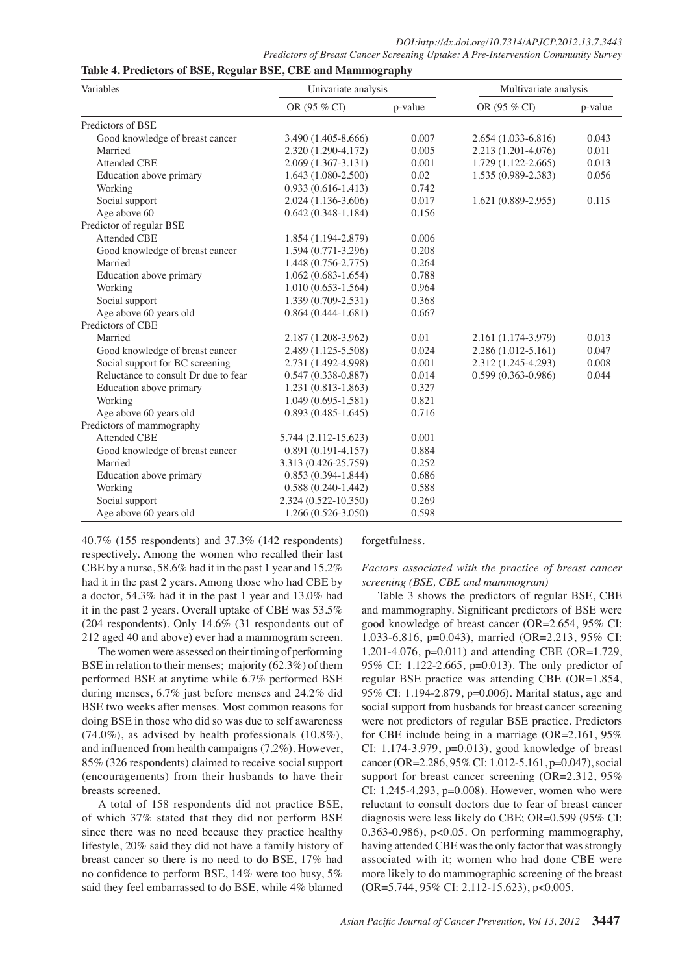| Variables                            | Univariate analysis    |         | Multivariate analysis  |         |  |
|--------------------------------------|------------------------|---------|------------------------|---------|--|
|                                      | OR (95 % CI)           | p-value | OR (95 % CI)           | p-value |  |
| Predictors of BSE                    |                        |         |                        |         |  |
| Good knowledge of breast cancer      | 3.490 (1.405-8.666)    | 0.007   | 2.654 (1.033-6.816)    | 0.043   |  |
| Married                              | 2.320 (1.290-4.172)    | 0.005   | 2.213 (1.201-4.076)    | 0.011   |  |
| <b>Attended CBE</b>                  | 2.069 (1.367-3.131)    | 0.001   | $1.729(1.122 - 2.665)$ | 0.013   |  |
| Education above primary              | $1.643(1.080-2.500)$   | 0.02    | 1.535 (0.989-2.383)    | 0.056   |  |
| Working                              | $0.933(0.616 - 1.413)$ | 0.742   |                        |         |  |
| Social support                       | $2.024(1.136-3.606)$   | 0.017   | $1.621(0.889 - 2.955)$ | 0.115   |  |
| Age above 60                         | $0.642(0.348-1.184)$   | 0.156   |                        |         |  |
| Predictor of regular BSE             |                        |         |                        |         |  |
| <b>Attended CBE</b>                  | 1.854 (1.194-2.879)    | 0.006   |                        |         |  |
| Good knowledge of breast cancer      | 1.594 (0.771-3.296)    | 0.208   |                        |         |  |
| Married                              | 1.448 (0.756-2.775)    | 0.264   |                        |         |  |
| Education above primary              | $1.062(0.683 - 1.654)$ | 0.788   |                        |         |  |
| Working                              | $1.010(0.653 - 1.564)$ | 0.964   |                        |         |  |
| Social support                       | $1.339(0.709 - 2.531)$ | 0.368   |                        |         |  |
| Age above 60 years old               | $0.864(0.444-1.681)$   | 0.667   |                        |         |  |
| Predictors of CBE                    |                        |         |                        |         |  |
| Married                              | 2.187 (1.208-3.962)    | 0.01    | 2.161 (1.174-3.979)    | 0.013   |  |
| Good knowledge of breast cancer      | 2.489 (1.125-5.508)    | 0.024   | $2.286(1.012 - 5.161)$ | 0.047   |  |
| Social support for BC screening      | 2.731 (1.492-4.998)    | 0.001   | 2.312 (1.245-4.293)    | 0.008   |  |
| Reluctance to consult Dr due to fear | $0.547(0.338-0.887)$   | 0.014   | $0.599(0.363 - 0.986)$ | 0.044   |  |
| Education above primary              | 1.231 (0.813-1.863)    | 0.327   |                        |         |  |
| Working                              | $1.049(0.695-1.581)$   | 0.821   |                        |         |  |
| Age above 60 years old               | $0.893(0.485-1.645)$   | 0.716   |                        |         |  |
| Predictors of mammography            |                        |         |                        |         |  |
| <b>Attended CBE</b>                  | 5.744 (2.112-15.623)   | 0.001   |                        |         |  |
| Good knowledge of breast cancer      | $0.891(0.191 - 4.157)$ | 0.884   |                        |         |  |
| Married                              | 3.313 (0.426-25.759)   | 0.252   |                        |         |  |
| Education above primary              | $0.853(0.394 - 1.844)$ | 0.686   |                        |         |  |
| Working                              | $0.588(0.240-1.442)$   | 0.588   |                        |         |  |
| Social support                       | 2.324 (0.522-10.350)   | 0.269   |                        |         |  |
| Age above 60 years old               | 1.266 (0.526-3.050)    | 0.598   |                        |         |  |

40.7% (155 respondents) and 37.3% (142 respondents) respectively. Among the women who recalled their last CBE by a nurse, 58.6% had it in the past 1 year and 15.2% had it in the past 2 years. Among those who had CBE by a doctor, 54.3% had it in the past 1 year and 13.0% had it in the past 2 years. Overall uptake of CBE was 53.5% (204 respondents). Only 14.6% (31 respondents out of 212 aged 40 and above) ever had a mammogram screen.

**Table 4. Predictors of BSE, Regular BSE, CBE and Mammography**

The women were assessed on their timing of performing BSE in relation to their menses; majority (62.3%) of them performed BSE at anytime while 6.7% performed BSE during menses, 6.7% just before menses and 24.2% did BSE two weeks after menses. Most common reasons for doing BSE in those who did so was due to self awareness  $(74.0\%)$ , as advised by health professionals  $(10.8\%)$ , and influenced from health campaigns (7.2%). However, 85% (326 respondents) claimed to receive social support (encouragements) from their husbands to have their breasts screened.

A total of 158 respondents did not practice BSE, of which 37% stated that they did not perform BSE since there was no need because they practice healthy lifestyle, 20% said they did not have a family history of breast cancer so there is no need to do BSE, 17% had no confidence to perform BSE, 14% were too busy, 5% said they feel embarrassed to do BSE, while 4% blamed

forgetfulness.

*Factors associated with the practice of breast cancer screening (BSE, CBE and mammogram)*

Table 3 shows the predictors of regular BSE, CBE and mammography. Significant predictors of BSE were good knowledge of breast cancer (OR=2.654, 95% CI: 1.033-6.816, p=0.043), married (OR=2.213, 95% CI: 1.201-4.076, p=0.011) and attending CBE (OR=1.729, 95% CI: 1.122-2.665, p=0.013). The only predictor of regular BSE practice was attending CBE (OR=1.854, 95% CI: 1.194-2.879, p=0.006). Marital status, age and social support from husbands for breast cancer screening were not predictors of regular BSE practice. Predictors for CBE include being in a marriage (OR=2.161, 95% CI: 1.174-3.979, p=0.013), good knowledge of breast cancer (OR=2.286, 95% CI: 1.012-5.161, p=0.047), social support for breast cancer screening (OR=2.312, 95% CI: 1.245-4.293, p=0.008). However, women who were reluctant to consult doctors due to fear of breast cancer diagnosis were less likely do CBE; OR=0.599 (95% CI: 0.363-0.986), p<0.05. On performing mammography, having attended CBE was the only factor that was strongly associated with it; women who had done CBE were more likely to do mammographic screening of the breast (OR=5.744, 95% CI: 2.112-15.623), p<0.005.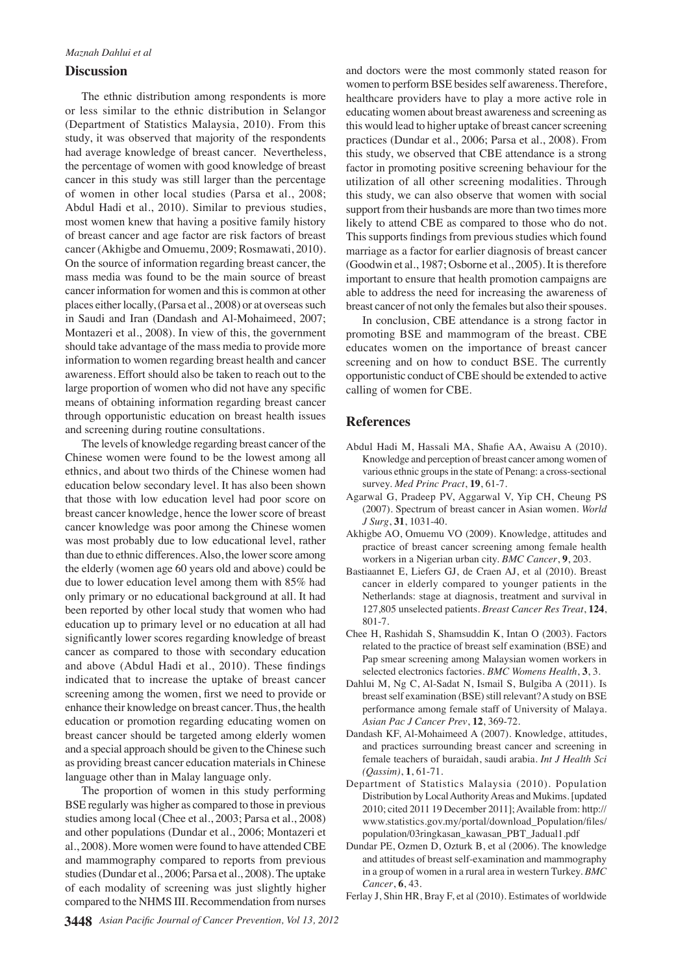## **Discussion**

The ethnic distribution among respondents is more or less similar to the ethnic distribution in Selangor (Department of Statistics Malaysia, 2010). From this study, it was observed that majority of the respondents had average knowledge of breast cancer. Nevertheless, the percentage of women with good knowledge of breast cancer in this study was still larger than the percentage of women in other local studies (Parsa et al., 2008; Abdul Hadi et al., 2010). Similar to previous studies, most women knew that having a positive family history of breast cancer and age factor are risk factors of breast cancer (Akhigbe and Omuemu, 2009; Rosmawati, 2010). On the source of information regarding breast cancer, the mass media was found to be the main source of breast cancer information for women and this is common at other places either locally, (Parsa et al., 2008) or at overseas such in Saudi and Iran (Dandash and Al-Mohaimeed, 2007; Montazeri et al., 2008). In view of this, the government should take advantage of the mass media to provide more information to women regarding breast health and cancer awareness. Effort should also be taken to reach out to the large proportion of women who did not have any specific means of obtaining information regarding breast cancer through opportunistic education on breast health issues and screening during routine consultations.

The levels of knowledge regarding breast cancer of the Chinese women were found to be the lowest among all ethnics, and about two thirds of the Chinese women had education below secondary level. It has also been shown that those with low education level had poor score on breast cancer knowledge, hence the lower score of breast cancer knowledge was poor among the Chinese women was most probably due to low educational level, rather than due to ethnic differences. Also, the lower score among the elderly (women age 60 years old and above) could be due to lower education level among them with 85% had only primary or no educational background at all. It had been reported by other local study that women who had education up to primary level or no education at all had significantly lower scores regarding knowledge of breast cancer as compared to those with secondary education and above (Abdul Hadi et al., 2010). These findings indicated that to increase the uptake of breast cancer screening among the women, first we need to provide or enhance their knowledge on breast cancer. Thus, the health education or promotion regarding educating women on breast cancer should be targeted among elderly women and a special approach should be given to the Chinese such as providing breast cancer education materials in Chinese language other than in Malay language only.

The proportion of women in this study performing BSE regularly was higher as compared to those in previous studies among local (Chee et al., 2003; Parsa et al., 2008) and other populations (Dundar et al., 2006; Montazeri et al., 2008). More women were found to have attended CBE and mammography compared to reports from previous studies (Dundar et al., 2006; Parsa et al., 2008). The uptake of each modality of screening was just slightly higher compared to the NHMS III. Recommendation from nurses and doctors were the most commonly stated reason for women to perform BSE besides self awareness. Therefore, healthcare providers have to play a more active role in educating women about breast awareness and screening as this would lead to higher uptake of breast cancer screening practices (Dundar et al., 2006; Parsa et al., 2008). From this study, we observed that CBE attendance is a strong factor in promoting positive screening behaviour for the utilization of all other screening modalities. Through this study, we can also observe that women with social support from their husbands are more than two times more likely to attend CBE as compared to those who do not. This supports findings from previous studies which found marriage as a factor for earlier diagnosis of breast cancer (Goodwin et al., 1987; Osborne et al., 2005). It is therefore important to ensure that health promotion campaigns are able to address the need for increasing the awareness of breast cancer of not only the females but also their spouses.

In conclusion, CBE attendance is a strong factor in promoting BSE and mammogram of the breast. CBE educates women on the importance of breast cancer screening and on how to conduct BSE. The currently opportunistic conduct of CBE should be extended to active calling of women for CBE.

#### **References**

- Abdul Hadi M, Hassali MA, Shafie AA, Awaisu A (2010). Knowledge and perception of breast cancer among women of various ethnic groups in the state of Penang: a cross-sectional survey. *Med Princ Pract*, **19**, 61-7.
- Agarwal G, Pradeep PV, Aggarwal V, Yip CH, Cheung PS (2007). Spectrum of breast cancer in Asian women. *World J Surg*, **31**, 1031-40.
- Akhigbe AO, Omuemu VO (2009). Knowledge, attitudes and practice of breast cancer screening among female health workers in a Nigerian urban city. *BMC Cancer*, **9**, 203.
- Bastiaannet E, Liefers GJ, de Craen AJ, et al (2010). Breast cancer in elderly compared to younger patients in the Netherlands: stage at diagnosis, treatment and survival in 127,805 unselected patients. *Breast Cancer Res Treat*, **124**, 801-7.
- Chee H, Rashidah S, Shamsuddin K, Intan O (2003). Factors related to the practice of breast self examination (BSE) and Pap smear screening among Malaysian women workers in selected electronics factories. *BMC Womens Health*, **3**, 3.
- Dahlui M, Ng C, Al-Sadat N, Ismail S, Bulgiba A (2011). Is breast self examination (BSE) still relevant? A study on BSE performance among female staff of University of Malaya. *Asian Pac J Cancer Prev*, **12**, 369-72.
- Dandash KF, Al-Mohaimeed A (2007). Knowledge, attitudes, and practices surrounding breast cancer and screening in female teachers of buraidah, saudi arabia. *Int J Health Sci (Qassim)*, **1**, 61-71.
- Department of Statistics Malaysia (2010). Population Distribution by Local Authority Areas and Mukims. [updated 2010; cited 2011 19 December 2011]; Available from: http:// www.statistics.gov.my/portal/download\_Population/files/ population/03ringkasan\_kawasan\_PBT\_Jadual1.pdf
- Dundar PE, Ozmen D, Ozturk B, et al (2006). The knowledge and attitudes of breast self-examination and mammography in a group of women in a rural area in western Turkey. *BMC Cancer*, **6**, 43.

Ferlay J, Shin HR, Bray F, et al (2010). Estimates of worldwide